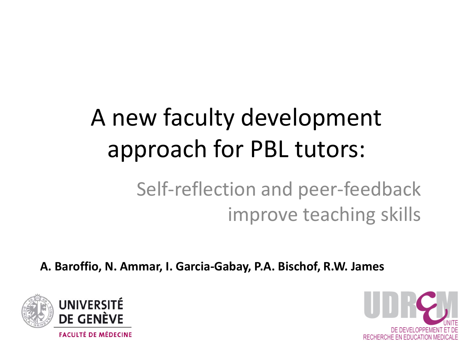## A new faculty development approach for PBL tutors:

### Self-reflection and peer-feedback improve teaching skills

**A. Baroffio, N. Ammar, I. Garcia-Gabay, P.A. Bischof, R.W. James**



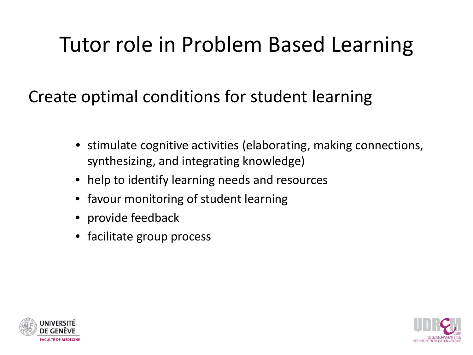## Tutor role in Problem Based Learning

Create optimal conditions for student learning

- stimulate cognitive activities (elaborating, making connections, synthesizing, and integrating knowledge)
- help to identify learning needs and resources
- favour monitoring of student learning
- provide feedback
- facilitate group process



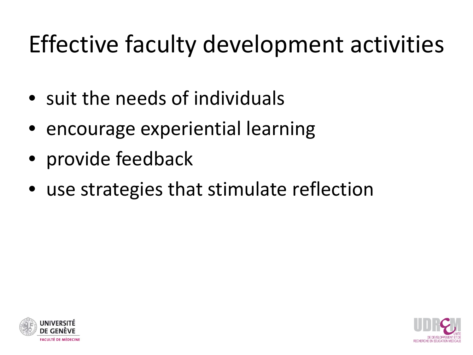## Effective faculty development activities

- suit the needs of individuals
- encourage experiential learning
- provide feedback
- use strategies that stimulate reflection



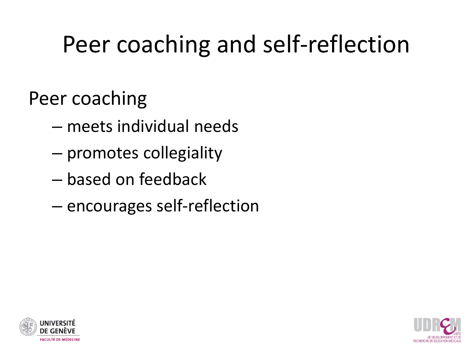## Peer coaching and self-reflection

Peer coaching

- meets individual needs
- promotes collegiality
- based on feedback
- encourages self-reflection



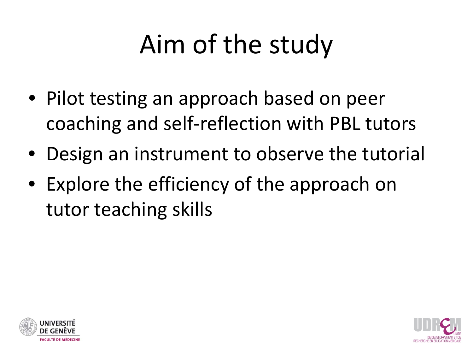# Aim of the study

- Pilot testing an approach based on peer coaching and self-reflection with PBL tutors
- Design an instrument to observe the tutorial
- Explore the efficiency of the approach on tutor teaching skills



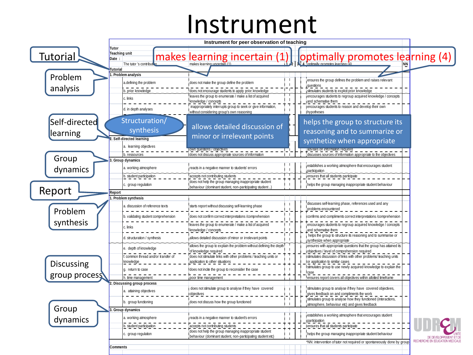## Instrument

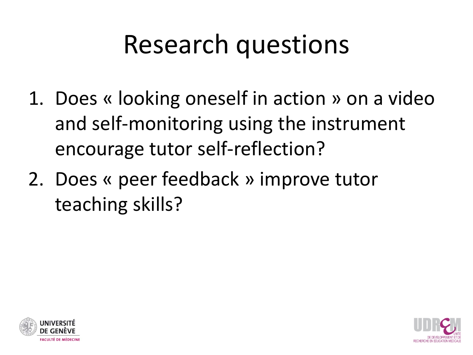## Research questions

- 1. Does « looking oneself in action » on a video and self-monitoring using the instrument encourage tutor self-reflection?
- 2. Does « peer feedback » improve tutor teaching skills?



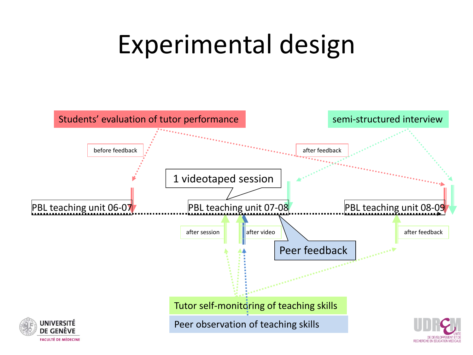# Experimental design

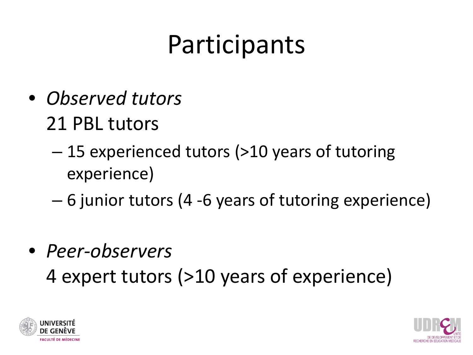# Participants

- *Observed tutors*  21 PBL tutors
	- 15 experienced tutors (>10 years of tutoring experience)
	- 6 junior tutors (4 -6 years of tutoring experience)
- *Peer-observers* 4 expert tutors (>10 years of experience)



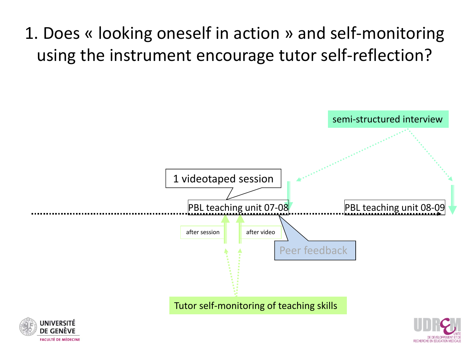### 1. Does « looking oneself in action » and self-monitoring using the instrument encourage tutor self-reflection?





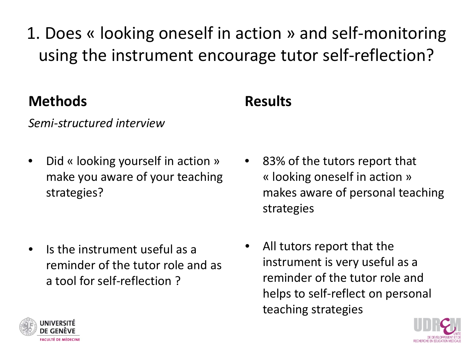1. Does « looking oneself in action » and self-monitoring using the instrument encourage tutor self-reflection?

### **Methods**

### **Results**

#### *Semi-structured interview*

• Did « looking yourself in action » make you aware of your teaching strategies?

- Is the instrument useful as a reminder of the tutor role and as a tool for self-reflection ?
- 83% of the tutors report that « looking oneself in action » makes aware of personal teaching strategies
- All tutors report that the instrument is very useful as a reminder of the tutor role and helps to self-reflect on personal teaching strategies



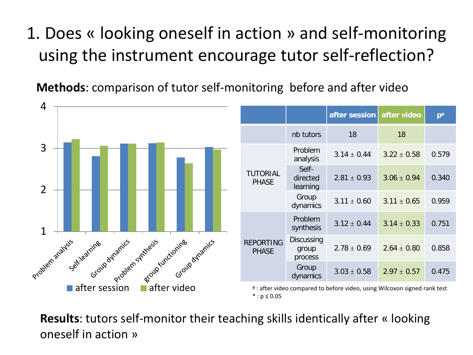### 1. Does « looking oneself in action » and self-monitoring using the instrument encourage tutor self-reflection?

**Methods**: comparison of tutor self-monitoring before and after video



**Results**: tutors self-monitor their teaching skills identically after « looking oneself in action »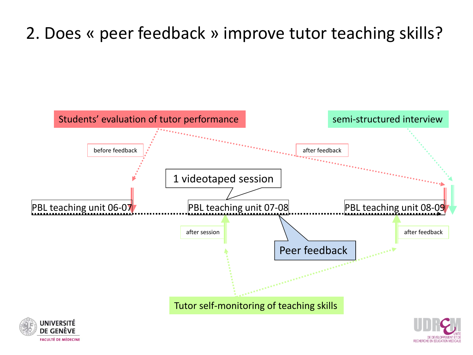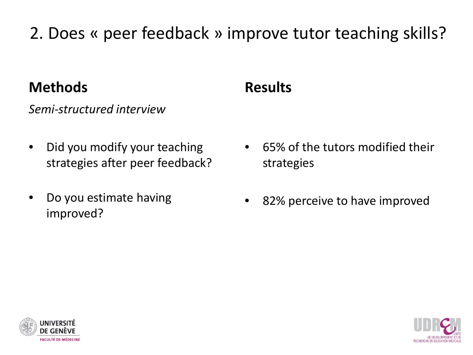#### **Methods**

*Semi-structured interview*

- Did you modify your teaching strategies after peer feedback?
- Do you estimate having improved?

### **Results**

- 65% of the tutors modified their strategies
- 82% perceive to have improved



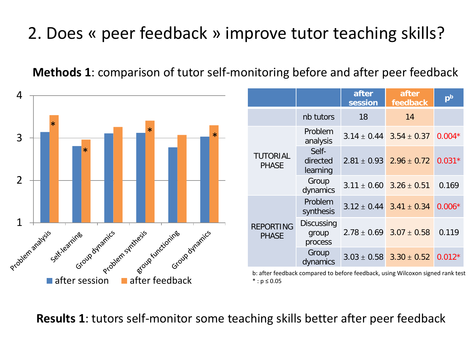**Methods 1**: comparison of tutor self-monitoring before and after peer feedback



**Results 1**: tutors self-monitor some teaching skills better after peer feedback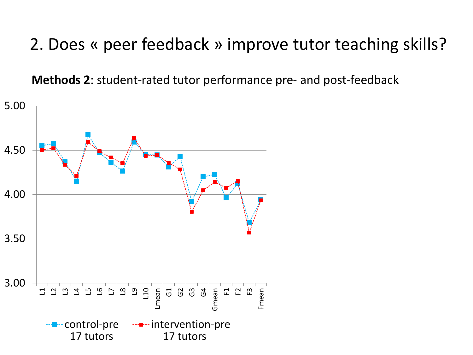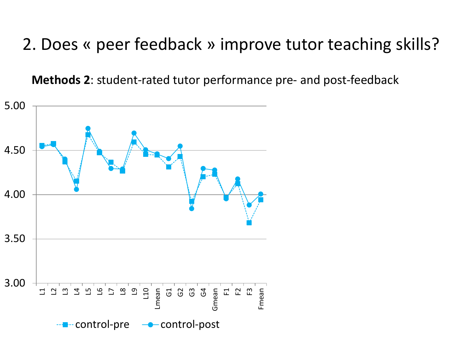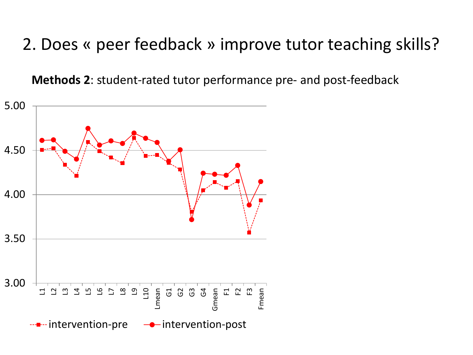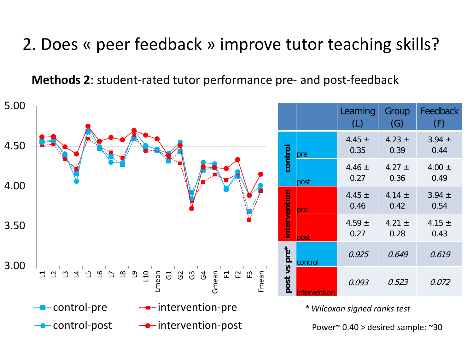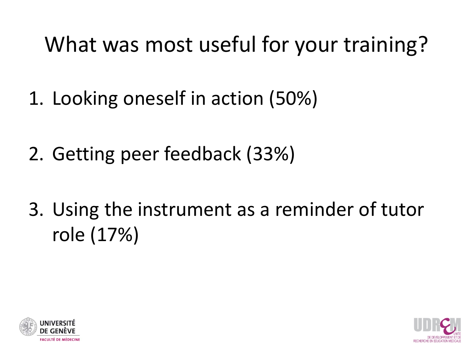## What was most useful for your training?

- 1. Looking oneself in action (50%)
- 2. Getting peer feedback (33%)
- 3. Using the instrument as a reminder of tutor role (17%)



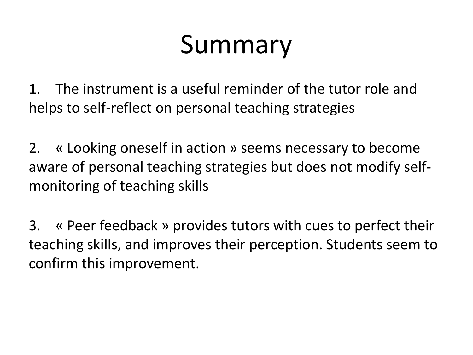# Summary

1. The instrument is a useful reminder of the tutor role and helps to self-reflect on personal teaching strategies

2. « Looking oneself in action » seems necessary to become aware of personal teaching strategies but does not modify selfmonitoring of teaching skills

3. « Peer feedback » provides tutors with cues to perfect their teaching skills, and improves their perception. Students seem to confirm this improvement.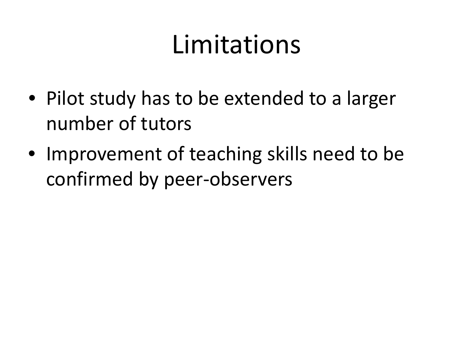## Limitations

- Pilot study has to be extended to a larger number of tutors
- Improvement of teaching skills need to be confirmed by peer-observers